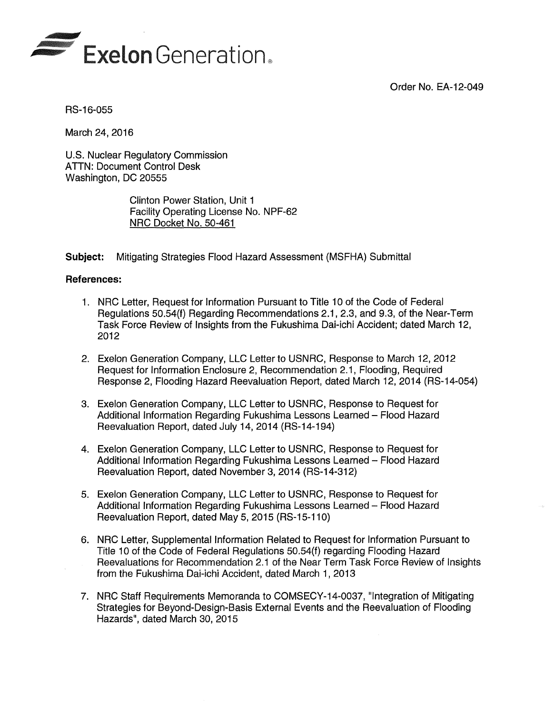Order No. EA-12-049



RS-16-055

March 24, 2016

U.S. Nuclear Regulatory Commission ATTN: Document Control Desk Washington, DC 20555

> Clinton Power Station, Unit 1 Facility Operating License No. NPF-62 NRC Docket No. 50-461

**Subject:** Mitigating Strategies Flood Hazard Assessment (MSFHA) Submittal

## **References:**

- 1. NRC Letter, Request for Information Pursuant to Title 1 O of the Code of Federal Regulations 50.54(f) Regarding Recommendations 2.1, 2.3, and 9.3, of the Near-Term Task Force Review of Insights from the Fukushima Dai-ichi Accident; dated March 12, 2012
- 2. Exelon Generation Company, LLC Letter to USNRC, Response to March 12, 2012 Request for Information Enclosure 2, Recommendation 2.1, Flooding, Required Response 2, Flooding Hazard Reevaluation Report, dated March 12, 2014 (RS-14-054)
- 3. Exelon Generation Company, LLC Letter to USNRC, Response to Request for Additional Information Regarding Fukushima Lessons Learned - Flood Hazard Reevaluation Report, dated July 14, 2014 (RS-14-194)
- 4. Exelon Generation Company, LLC Letter to USNRC, Response to Request for Additional Information Regarding Fukushima Lessons Learned - Flood Hazard Reevaluation Report, dated November 3, 2014 (RS-14-312)
- 5. Exelon Generation Company, LLC Letter to USNRC, Response to Request for Additional Information Regarding Fukushima Lessons Learned- Flood Hazard Reevaluation Report, dated May 5, 2015 (RS-15-110)
- 6. NRC Letter, Supplemental Information Related to Request for Information Pursuant to Title 10 of the Code of Federal Regulations 50.54(f) regarding Flooding Hazard Reevaluations for Recommendation 2.1 of the Near Term Task Force Review of Insights from the Fukushima Dai-ichi Accident, dated March 1, 2013
- 7. NRC Staff Requirements Memoranda to COMSECY-14-0037, "Integration of Mitigating Strategies for Beyond-Design-Basis External Events and the Reevaluation of Flooding Hazards", dated March 30, 2015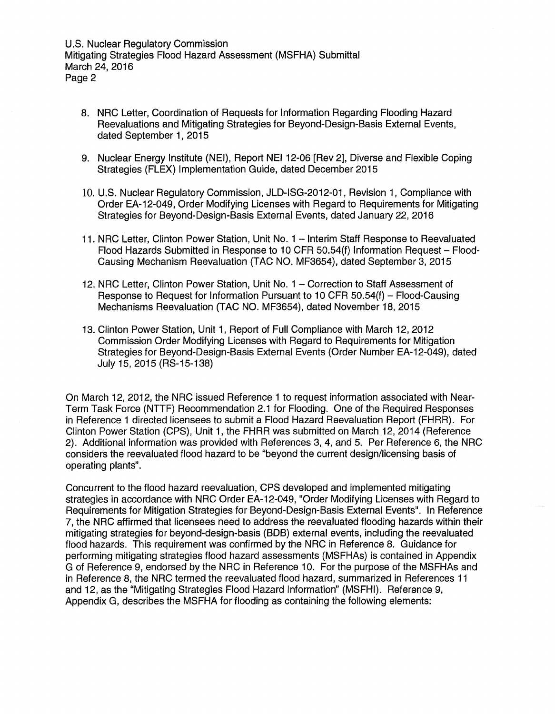- 8. NRC Letter, Coordination of Requests for Information Regarding Flooding Hazard Reevaluations and Mitigating Strategies tor Beyond-Design-Basis External Events, dated September 1, 2015
- 9. Nuclear Energy Institute (NEI), Report NEI 12-06 [Rev 2], Diverse and Flexible Coping Strategies (FLEX) Implementation Guide, dated December 2015
- 10. U.S. Nuclear Regulatory Commission, JLD-ISG-2012-01, Revision 1, Compliance with Order EA-12-049, Order Modifying Licenses with Regard to Requirements for Mitigating Strategies for Beyond-Design-Basis External Events, dated January 22, 2016
- 11. NRC Letter, Clinton Power Station, Unit No. 1 Interim Staff Response to Reevaluated Flood Hazards Submitted in Response to 10 CFR 50.54(f) Information Request - Flood-Causing Mechanism Reevaluation (TAC NO. MF3654), dated September 3, 2015
- 12. NRC Letter, Clinton Power Station, Unit No. 1 Correction to Staff Assessment of Response to Request for Information Pursuant to 10 CFR 50.54(f) - Flood-Causing Mechanisms Reevaluation (TAC NO. MF3654), dated November 18, 2015
- 13. Clinton Power Station, Unit 1, Report of Full Compliance with March 12, 2012 Commission Order Modifying Licenses with Regard to Requirements for Mitigation Strategies for Beyond-Design-Basis External Events (Order Number EA-12-049), dated July 15, 2015 (RS-15-138)

On March 12, 2012, the NRC issued Reference 1 to request information associated with Near-Term Task Force (NTTF) Recommendation 2.1 for Flooding. One of the Required Responses in Reference 1 directed licensees to submit a Flood Hazard Reevaluation Report (FHRR). For Clinton Power Station (CPS), Unit 1, the FHRR was submitted on March 12, 2014 (Reference 2). Additional information was provided with References 3, 4, and 5. Per Reference 6, the NRC considers the reevaluated flood hazard to be "beyond the current design/licensing basis of operating plants".

Concurrent to the flood hazard reevaluation, CPS developed and implemented mitigating strategies in accordance with NRC Order EA-12-049, "Order Modifying Licenses with Regard to Requirements tor Mitigation Strategies for Beyond-Design-Basis External Events". In Reference 7, the NRC affirmed that licensees need to address the reevaluated flooding hazards within their mitigating strategies for beyond-design-basis (BDB) external events, including the reevaluated flood hazards. This requirement was confirmed by the NRC in Reference 8. Guidance for performing mitigating strategies flood hazard assessments (MSFHAs) is contained in Appendix G of Reference 9, endorsed by the NRC in Reference 10. For the purpose of the MSFHAs and in Reference 8, the NRC termed the reevaluated flood hazard, summarized in References 11 and 12, as the "Mitigating Strategies Flood Hazard Information" (MSFHI). Reference 9, Appendix G, describes the MSFHA tor flooding as containing the following elements: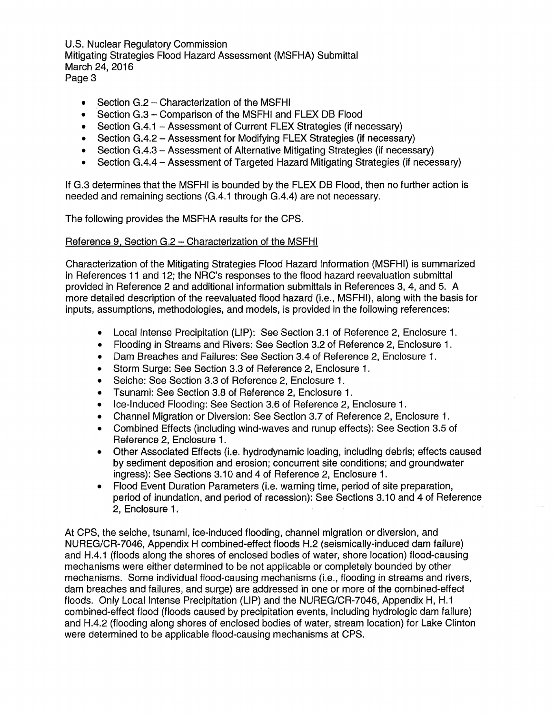- Section G.2 Characterization of the MSFHI
- Section G.3 Comparison of the MSFHI and FLEX DB Flood
- Section G.4.1 Assessment of Current FLEX Strategies (if necessary)
- Section G.4.2 Assessment for Modifying FLEX Strategies (if necessary)
- Section G.4.3 Assessment of Alternative Mitigating Strategies (if necessary)
- Section G.4.4 Assessment of Targeted Hazard Mitigating Strategies (if necessary)

If G.3 determines that the MSFHI is bounded by the FLEX DB Flood, then no further action is needed and remaining sections (G.4.1 through G.4.4) are not necessary.

The following provides the MSFHA results for the CPS.

## Reference 9, Section G.2 - Characterization of the MSFHI

Characterization of the Mitigating Strategies Flood Hazard Information (MSFHI) is summarized in References 11 and 12; the NRC's responses to the flood hazard reevaluation submittal provided in Reference 2 and additional information submittals in References 3, 4, and 5. A more detailed description of the reevaluated flood hazard (i.e., MSFHI), along with the basis for inputs, assumptions, methodologies, and models, is provided in the following references:

- Local Intense Precipitation (LIP): See Section 3.1 of Reference 2, Enclosure 1.
- Flooding in Streams and Rivers: See Section 3.2 of Reference 2, Enclosure 1 .
- Dam Breaches and Failures: See Section 3.4 of Reference 2, Enclosure 1.
- Storm Surge: See Section 3.3 of Reference 2, Enclosure 1.
- Seiche: See Section 3.3 of Reference 2, Enclosure 1.
- Tsunami: See Section 3.8 of Reference 2, Enclosure 1.
- Ice-Induced Flooding: See Section 3.6 of Reference 2, Enclosure 1.
- Channel Migration or Diversion: See Section 3.7 of Reference 2, Enclosure 1.
- Combined Effects (including wind-waves and runup effects): See Section 3.5 of Reference 2, Enclosure 1.
- Other Associated Effects (i.e. hydrodynamic loading, including debris; effects caused by sediment deposition and erosion; concurrent site conditions; and groundwater ingress): See Sections 3.10 and 4 of Reference 2, Enclosure 1.
- Flood Event Duration Parameters (i.e. warning time, period of site preparation, period of inundation, and period of recession): See Sections 3.1 O and 4 of Reference 2, Enclosure 1.

At CPS, the seiche, tsunami, ice-induced flooding, channel migration or diversion, and NUREG/CR-7046, Appendix H combined-effect floods H.2 (seismically-induced dam failure) and H.4.1 (floods along the shores of enclosed bodies of water, shore location) flood-causing mechanisms were either determined to be not applicable or completely bounded by other mechanisms. Some individual flood-causing mechanisms (i.e., flooding in streams and rivers, dam breaches and failures, and surge) are addressed in one or more of the combined-effect floods. Only Local Intense Precipitation (LIP) and the NUREG/CR-7046, Appendix H, H.1 combined-effect flood (floods caused by precipitation events, including hydrologic dam failure) and H.4.2 (flooding along shores of enclosed bodies of water, stream location) for Lake Clinton were determined to be applicable flood-causing mechanisms at CPS.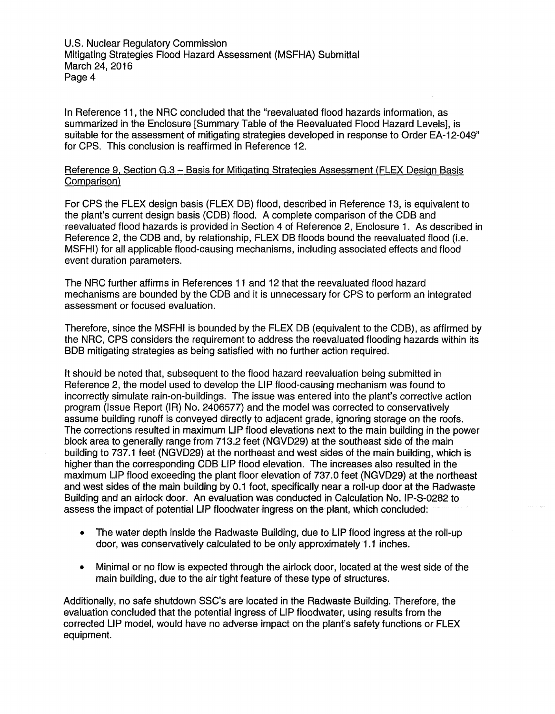In Reference 11, the NRC concluded that the "reevaluated flood hazards information, as summarized in the Enclosure [Summary Table of the Reevaluated Flood Hazard Levels], is suitable for the assessment of mitigating strategies developed in response to Order EA-12-049" for CPS. This conclusion is reaffirmed in Reference 12.

## Reference 9, Section G.3 - Basis for Mitigating Strategies Assessment (FLEX Design Basis Comparison)

For CPS the FLEX design basis (FLEX DB) flood, described in Reference 13, is equivalent to the plant's current design basis (COB) flood. A complete comparison of the COB and reevaluated flood hazards is provided in Section 4 of Reference 2, Enclosure 1. As described in Reference 2, the COB and, by relationship, FLEX DB floods bound the reevaluated flood (i.e. MSFHI) for all applicable flood-causing mechanisms, including associated effects and flood event duration parameters.

The NRC further affirms in References 11 and 12 that the reevaluated flood hazard mechanisms are bounded by the COB and it is unnecessary for CPS to perform an integrated assessment or focused evaluation.

Therefore, since the MSFHI is bounded by the FLEX DB (equivalent to the COB), as affirmed by the NRC, CPS considers the requirement to address the reevaluated flooding hazards within its BOB mitigating strategies as being satisfied with no further action required.

It should be noted that, subsequent to the flood hazard reevaluation being submitted in Reference 2, the model used to develop the LIP flood-causing mechanism was found to incorrectly simulate rain-on-buildings. The issue was entered into the plant's corrective action program (Issue Report (IA) No. 2406577) and the model was corrected to conservatively assume building runoff is conveyed directly to adjacent grade, ignoring storage on the roofs. The corrections resulted in maximum LIP flood elevations next to the main building in the power block area to generally range from 713.2 feet (NGVD29) at the southeast side of the main building to 737.1 feet (NGVD29) at the northeast and west sides of the main building, which is higher than the corresponding COB LIP flood elevation. The increases also resulted in the maximum LIP flood exceeding the plant floor elevation of 737.0 feet (NGVD29) at the northeast and west sides of the main building by 0.1 foot, specifically near a roll-up door at the Radwaste Building and an airlock door. An evaluation was conducted in Calculation No. IP-S-0282 to assess the impact of potential LIP floodwater ingress on the plant, which concluded:

- The water depth inside the Radwaste Building, due to LIP flood ingress at the roll-up door, was conservatively calculated to be only approximately 1.1 inches.
- Minimal or no flow is expected through the airlock door, located at the west side of the main building, due to the air tight feature of these type of structures.

Additionally, no safe shutdown SSC's are located in the Radwaste Building. Therefore, the evaluation concluded that the potential ingress of LIP floodwater, using results from the corrected LIP model, would have no adverse impact on the plant's safety functions or FLEX equipment.